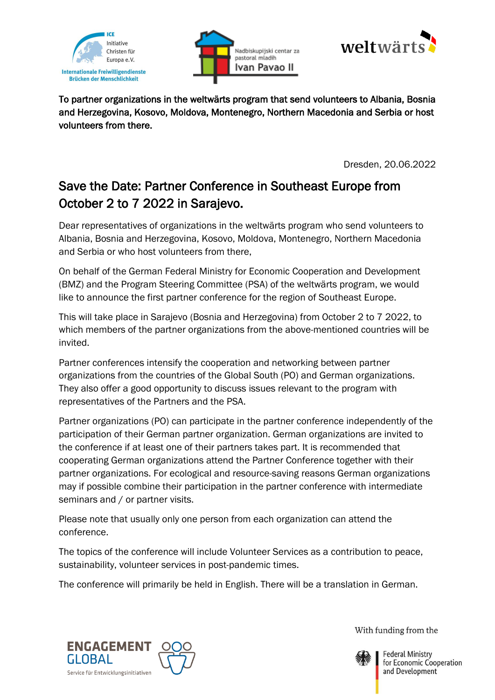





To partner organizations in the weltwärts program that send volunteers to Albania, Bosnia and Herzegovina, Kosovo, Moldova, Montenegro, Northern Macedonia and Serbia or host volunteers from there.

Dresden, 20.06.2022

## Save the Date: Partner Conference in Southeast Europe from October 2 to 7 2022 in Sarajevo.

Dear representatives of organizations in the weltwärts program who send volunteers to Albania, Bosnia and Herzegovina, Kosovo, Moldova, Montenegro, Northern Macedonia and Serbia or who host volunteers from there,

On behalf of the German Federal Ministry for Economic Cooperation and Development (BMZ) and the Program Steering Committee (PSA) of the weltwärts program, we would like to announce the first partner conference for the region of Southeast Europe.

This will take place in Sarajevo (Bosnia and Herzegovina) from October 2 to 7 2022, to which members of the partner organizations from the above-mentioned countries will be invited.

Partner conferences intensify the cooperation and networking between partner organizations from the countries of the Global South (PO) and German organizations. They also offer a good opportunity to discuss issues relevant to the program with representatives of the Partners and the PSA.

Partner organizations (PO) can participate in the partner conference independently of the participation of their German partner organization. German organizations are invited to the conference if at least one of their partners takes part. It is recommended that cooperating German organizations attend the Partner Conference together with their partner organizations. For ecological and resource-saving reasons German organizations may if possible combine their participation in the partner conference with intermediate seminars and / or partner visits.

Please note that usually only one person from each organization can attend the conference.

The topics of the conference will include Volunteer Services as a contribution to peace, sustainability, volunteer services in post-pandemic times.

The conference will primarily be held in English. There will be a translation in German.



With funding from the



**Federal Ministry** for Economic Cooperation and Development